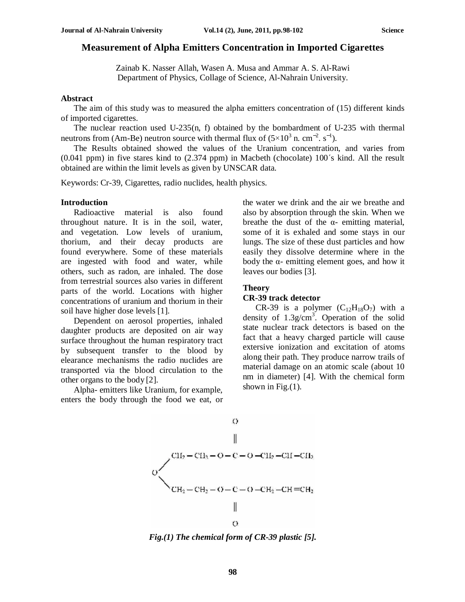# **Measurement of Alpha Emitters Concentration in Imported Cigarettes**

Zainab K. Nasser Allah, Wasen A. Musa and Ammar A. S. Al-Rawi Department of Physics, Collage of Science, Al-Nahrain University.

## **Abstract**

The aim of this study was to measured the alpha emitters concentration of (15) different kinds of imported cigarettes.

The nuclear reaction used U-235 $(n, f)$  obtained by the bombardment of U-235 with thermal neutrons from (Am-Be) neutron source with thermal flux of  $(5\times10^{3} \text{ n. cm}^{-2} \text{ s}^{-1})$ .

The Results obtained showed the values of the Uranium concentration, and varies from (0.041 ppm) in five stares kind to (2.374 ppm) in Macbeth (chocolate) 100΄s kind. All the result obtained are within the limit levels as given by UNSCAR data.

Keywords: Cr-39, Cigarettes, radio nuclides, health physics.

### **Introduction**

Radioactive material is also found throughout nature. It is in the soil, water, and vegetation. Low levels of uranium, thorium, and their decay products are found everywhere. Some of these materials are ingested with food and water, while others, such as radon, are inhaled. The dose from terrestrial sources also varies in different parts of the world. Locations with higher concentrations of uranium and thorium in their soil have higher dose levels [1].

Dependent on aerosol properties, inhaled daughter products are deposited on air way surface throughout the human respiratory tract by subsequent transfer to the blood by elearance mechanisms the radio nuclides are transported via the blood circulation to the other organs to the body [2].

Alpha- emitters like Uranium, for example, enters the body through the food we eat, or

the water we drink and the air we breathe and also by absorption through the skin. When we breathe the dust of the  $\alpha$ - emitting material, some of it is exhaled and some stays in our lungs. The size of these dust particles and how easily they dissolve determine where in the body the  $\alpha$ - emitting element goes, and how it leaves our bodies [3].

# **Theory**

# **CR-39 track detector**

CR-39 is a polymer  $(C_{12}H_{18}O_7)$  with a density of  $1.3g/cm<sup>3</sup>$ . Operation of the solid state nuclear track detectors is based on the fact that a heavy charged particle will cause extersive ionization and excitation of atoms along their path. They produce narrow trails of material damage on an atomic scale (about 10 nm in diameter) [4]. With the chemical form shown in Fig. $(1)$ .



*Fig.(1) The chemical form of CR-39 plastic [5].*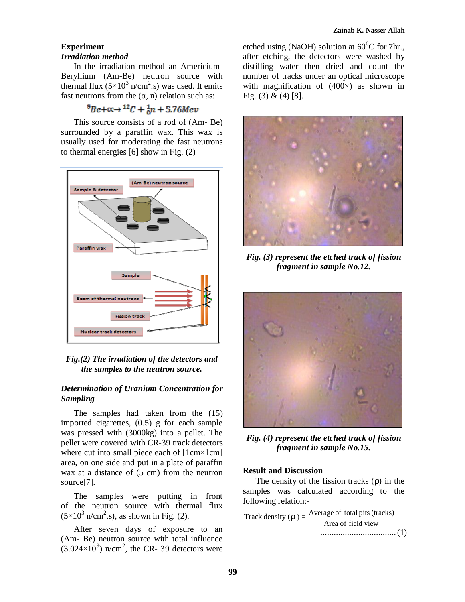# **Experiment**  *Irradiation method*

In the irradiation method an Americium-Beryllium (Am-Be) neutron source with thermal flux  $(5 \times 10^3 \text{ n/cm}^2 \text{ s})$  was used. It emits fast neutrons from the  $(\alpha, n)$  relation such as:

# $^{9}Be + \alpha \rightarrow ^{12}C + \frac{1}{6}n + 5.76Mev$

This source consists of a rod of (Am- Be) surrounded by a paraffin wax. This wax is usually used for moderating the fast neutrons to thermal energies [6] show in Fig. (2)



*Fig.(2) The irradiation of the detectors and the samples to the neutron source.* 

# *Determination of Uranium Concentration for Sampling*

The samples had taken from the (15) imported cigarettes, (0.5) g for each sample was pressed with (3000kg) into a pellet. The pellet were covered with CR-39 track detectors where cut into small piece each of  $[1cm \times 1cm]$ area, on one side and put in a plate of paraffin wax at a distance of  $(5 \text{ cm})$  from the neutron source[7].

The samples were putting in front of the neutron source with thermal flux  $(5\times10^3 \text{ n/cm}^2 \text{ s})$ , as shown in Fig. (2).

After seven days of exposure to an (Am- Be) neutron source with total influence  $(3.024 \times 10^9)$  n/cm<sup>2</sup>, the CR- 39 detectors were etched using (NaOH) solution at  $60^{\circ}$ C for 7hr., after etching, the detectors were washed by distilling water then dried and count the number of tracks under an optical microscope with magnification of  $(400\times)$  as shown in Fig. (3) & (4) [8].



*Fig. (3) represent the etched track of fission fragment in sample No.12.* 



*Fig. (4) represent the etched track of fission fragment in sample No.15.* 

# **Result and Discussion**

The density of the fission tracks (ρ) in the samples was calculated according to the following relation:-

Track density  $(r) = \frac{Average\ of\ total\ pits\ (tracks)}$ Area of field view ..................................(1)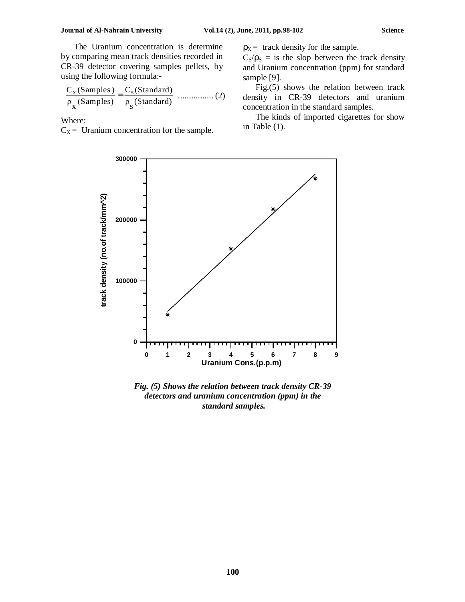The Uranium concentration is determine by comparing mean track densities recorded in CR-39 detector covering samples pellets, by using the following formula:-

$$
\frac{C_x(\text{Samples})}{\rho_x(\text{Samples})} = \frac{C_s(\text{Standard})}{\rho_s(\text{Standard})}
$$
........(2)

Where:

 $C_X$  = Uranium concentration for the sample.

 $p_X$  = track density for the sample.

 $C_S/\rho_S = iS$  the slop between the track density and Uranium concentration (ppm) for standard sample [9].

Fig.(5) shows the relation between track density in CR-39 detectors and uranium concentration in the standard samples.

The kinds of imported cigarettes for show in Table (1).



*Fig. (5) Shows the relation between track density CR-39 detectors and uranium concentration (ppm) in the standard samples.*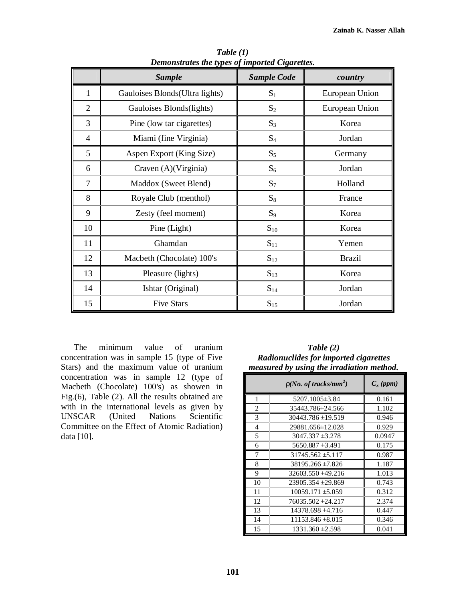|                | <b>Sample</b>                   | <b>Sample Code</b> | country        |
|----------------|---------------------------------|--------------------|----------------|
| 1              | Gauloises Blonds (Ultra lights) | $S_1$              | European Union |
| $\overline{2}$ | Gauloises Blonds(lights)        | $S_2$              | European Union |
| 3              | Pine (low tar cigarettes)       | $S_3$              | Korea          |
| $\overline{4}$ | Miami (fine Virginia)           | $S_4$              | Jordan         |
| 5              | Aspen Export (King Size)        | $S_5$              | Germany        |
| 6              | Craven (A)(Virginia)            | $S_6$              | Jordan         |
| $\overline{7}$ | Maddox (Sweet Blend)            | $S_7$              | Holland        |
| 8              | Royale Club (menthol)           | $S_8$              | France         |
| 9              | Zesty (feel moment)             | $S_9$              | Korea          |
| 10             | Pine (Light)                    | $S_{10}$           | Korea          |
| 11             | Ghamdan                         | $S_{11}$           | Yemen          |
| 12             | Macbeth (Chocolate) 100's       | $S_{12}$           | <b>Brazil</b>  |
| 13             | Pleasure (lights)               | $S_{13}$           | Korea          |
| 14             | Ishtar (Original)               | $S_{14}$           | Jordan         |
| 15             | <b>Five Stars</b>               | $S_{15}$           | Jordan         |

*Table (1) Demonstrates the types of imported Cigarettes.*

The minimum value of uranium concentration was in sample 15 (type of Five Stars) and the maximum value of uranium concentration was in sample 12 (type of Macbeth (Chocolate) 100's) as showen in Fig.(6), Table (2). All the results obtained are with in the international levels as given by UNSCAR (United Nations Scientific Committee on the Effect of Atomic Radiation) data [10].

*Table (2) Radionuclides for imported cigarettes measured by using the irradiation method.* 

|    | $r(No. of tracks/mm^2)$ | $C_x$ (ppm) |
|----|-------------------------|-------------|
| 1  | 5207.1005 ± 3.84        | 0.161       |
| 2  | 35443.786±24.566        | 1.102       |
| 3  | $30443.786 \pm 19.519$  | 0.946       |
| 4  | 29881.656±12.028        | 0.929       |
| 5  | $3047.337 \pm 3.278$    | 0.0947      |
| 6  | $5650.887 \pm 3.491$    | 0.175       |
| 7  | $31745.562 \pm 5.117$   | 0.987       |
| 8  | 38195.266 ±7.826        | 1.187       |
| 9  | $32603.550 \pm 49.216$  | 1.013       |
| 10 | $23905.354 \pm 29.869$  | 0.743       |
| 11 | $10059.171 \pm 5.059$   | 0.312       |
| 12 | 76035.502 ±24.217       | 2.374       |
| 13 | $14378.698 \pm 4.716$   | 0.447       |
| 14 | $11153.846 \pm 8.015$   | 0.346       |
| 15 | $1331.360 \pm 2.598$    | 0.041       |